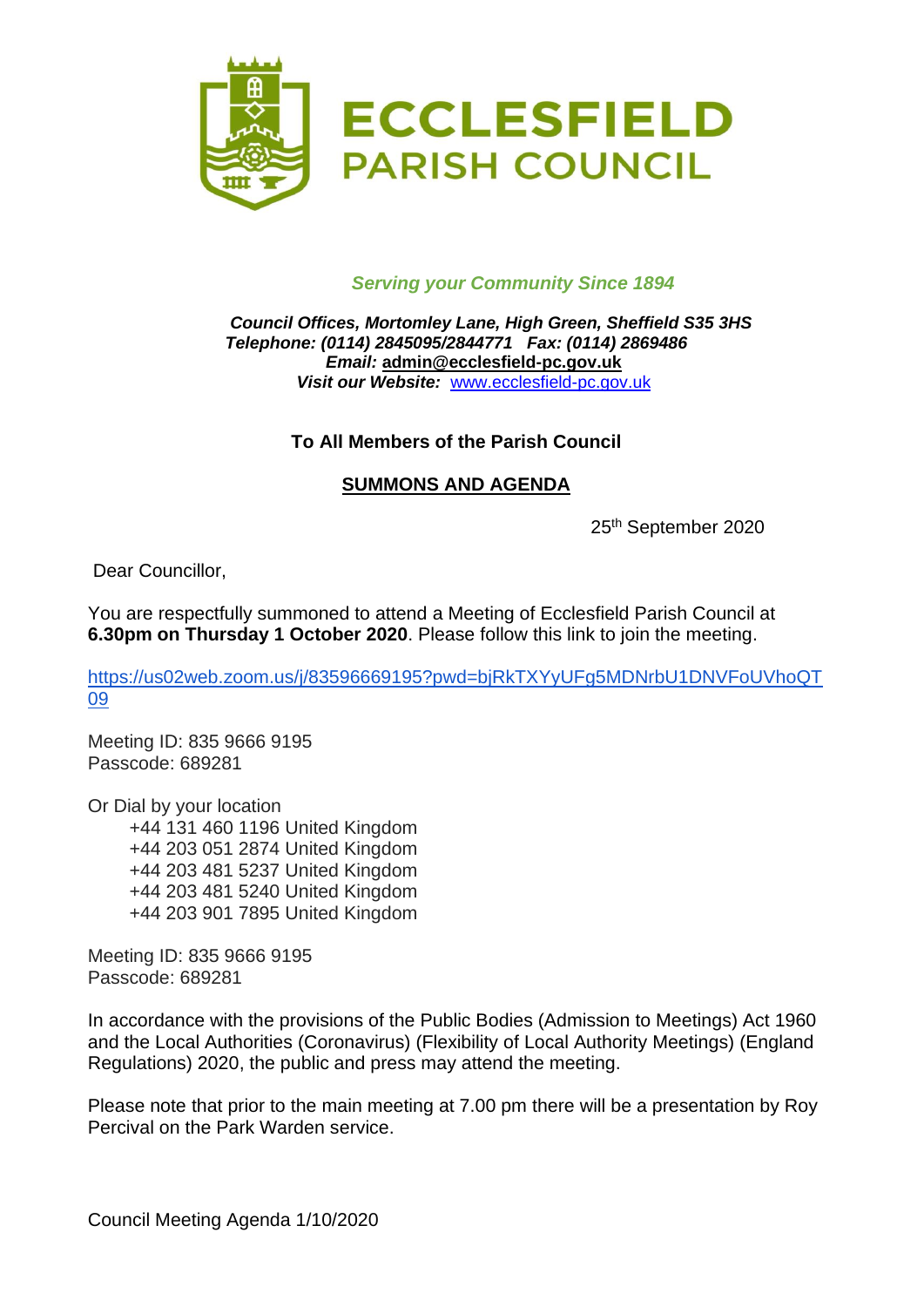

### *Serving your Community Since 1894*

#### *Council Offices, Mortomley Lane, High Green, Sheffield S35 3HS Telephone: (0114) 2845095/2844771 Fax: (0114) 2869486 Email:* **admin@ecclesfield-pc.gov.uk** *Visit our Website:* [www.ecclesfield-pc.gov.uk](http://www.ecclesfield-pc.gov.uk/)

### **To All Members of the Parish Council**

#### **SUMMONS AND AGENDA**

25<sup>th</sup> September 2020

Dear Councillor,

You are respectfully summoned to attend a Meeting of Ecclesfield Parish Council at **6.30pm on Thursday 1 October 2020**. Please follow this link to join the meeting.

[https://us02web.zoom.us/j/83596669195?pwd=bjRkTXYyUFg5MDNrbU1DNVFoUVhoQT](https://us02web.zoom.us/j/83596669195?pwd=bjRkTXYyUFg5MDNrbU1DNVFoUVhoQT09) [09](https://us02web.zoom.us/j/83596669195?pwd=bjRkTXYyUFg5MDNrbU1DNVFoUVhoQT09)

Meeting ID: 835 9666 9195 Passcode: 689281

Or Dial by your location

+44 131 460 1196 United Kingdom +44 203 051 2874 United Kingdom +44 203 481 5237 United Kingdom +44 203 481 5240 United Kingdom +44 203 901 7895 United Kingdom

Meeting ID: 835 9666 9195 Passcode: 689281

In accordance with the provisions of the Public Bodies (Admission to Meetings) Act 1960 and the Local Authorities (Coronavirus) (Flexibility of Local Authority Meetings) (England Regulations) 2020, the public and press may attend the meeting.

Please note that prior to the main meeting at 7.00 pm there will be a presentation by Roy Percival on the Park Warden service.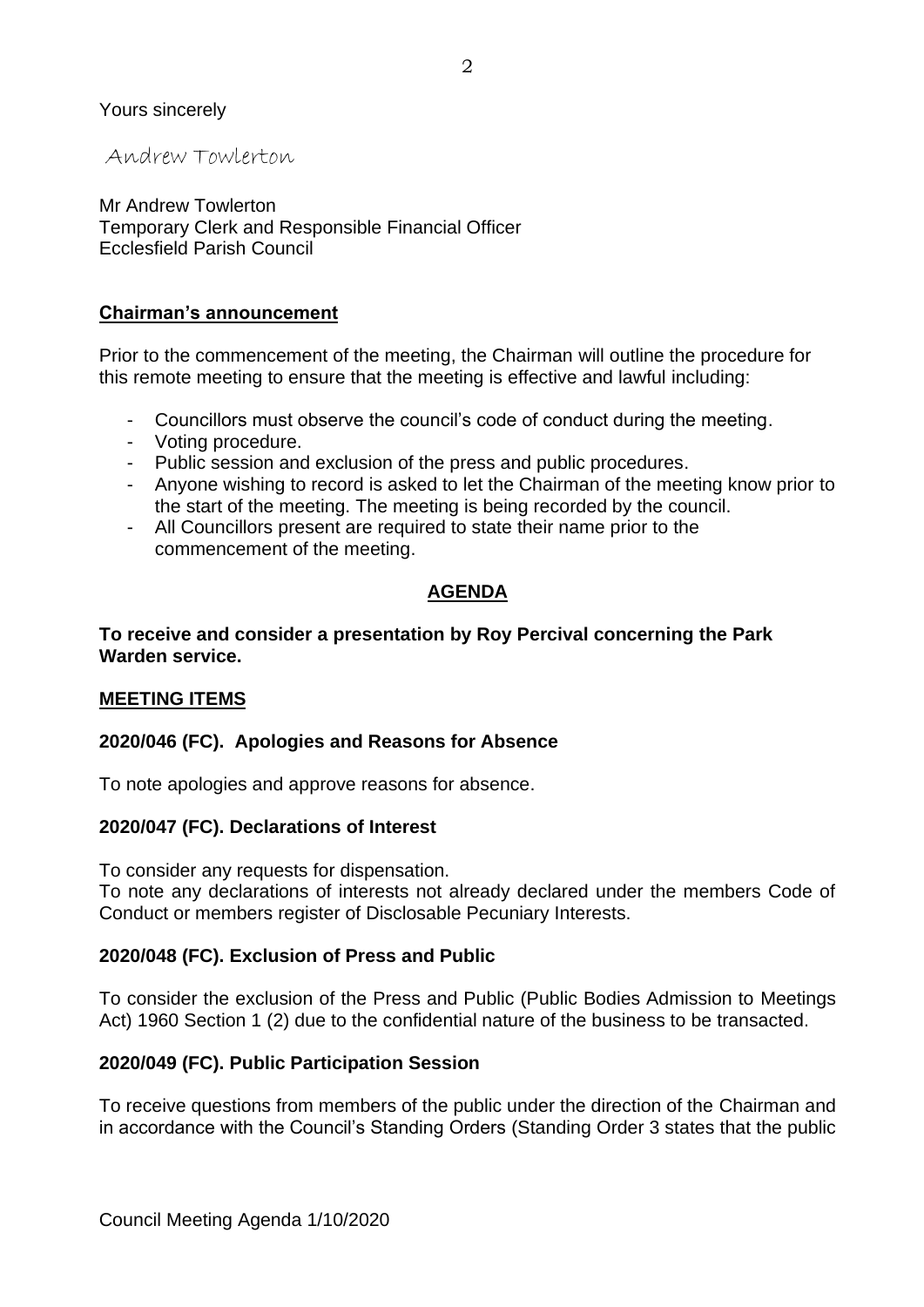#### Yours sincerely

Andrew Towlerton

Mr Andrew Towlerton Temporary Clerk and Responsible Financial Officer Ecclesfield Parish Council

#### **Chairman's announcement**

Prior to the commencement of the meeting, the Chairman will outline the procedure for this remote meeting to ensure that the meeting is effective and lawful including:

- Councillors must observe the council's code of conduct during the meeting.
- Voting procedure.
- Public session and exclusion of the press and public procedures.
- Anyone wishing to record is asked to let the Chairman of the meeting know prior to the start of the meeting. The meeting is being recorded by the council.
- All Councillors present are required to state their name prior to the commencement of the meeting.

### **AGENDA**

#### **To receive and consider a presentation by Roy Percival concerning the Park Warden service.**

### **MEETING ITEMS**

### **2020/046 (FC). Apologies and Reasons for Absence**

To note apologies and approve reasons for absence.

### **2020/047 (FC). Declarations of Interest**

To consider any requests for dispensation.

To note any declarations of interests not already declared under the members Code of Conduct or members register of Disclosable Pecuniary Interests.

#### **2020/048 (FC). Exclusion of Press and Public**

To consider the exclusion of the Press and Public (Public Bodies Admission to Meetings Act) 1960 Section 1 (2) due to the confidential nature of the business to be transacted.

#### **2020/049 (FC). Public Participation Session**

To receive questions from members of the public under the direction of the Chairman and in accordance with the Council's Standing Orders (Standing Order 3 states that the public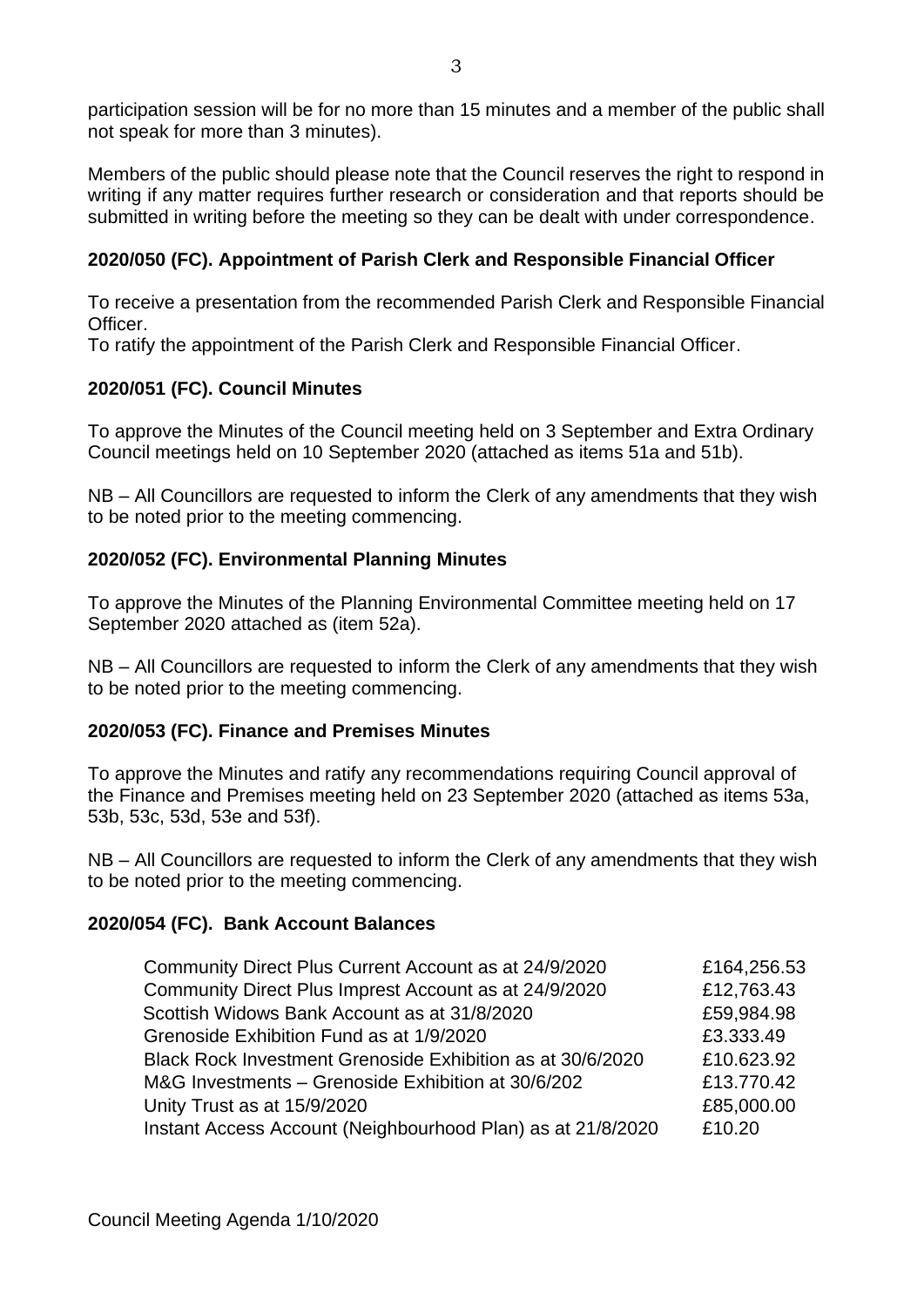participation session will be for no more than 15 minutes and a member of the public shall not speak for more than 3 minutes).

Members of the public should please note that the Council reserves the right to respond in writing if any matter requires further research or consideration and that reports should be submitted in writing before the meeting so they can be dealt with under correspondence.

# **2020/050 (FC). Appointment of Parish Clerk and Responsible Financial Officer**

To receive a presentation from the recommended Parish Clerk and Responsible Financial Officer.

To ratify the appointment of the Parish Clerk and Responsible Financial Officer.

## **2020/051 (FC). Council Minutes**

To approve the Minutes of the Council meeting held on 3 September and Extra Ordinary Council meetings held on 10 September 2020 (attached as items 51a and 51b).

NB – All Councillors are requested to inform the Clerk of any amendments that they wish to be noted prior to the meeting commencing.

## **2020/052 (FC). Environmental Planning Minutes**

To approve the Minutes of the Planning Environmental Committee meeting held on 17 September 2020 attached as (item 52a).

NB – All Councillors are requested to inform the Clerk of any amendments that they wish to be noted prior to the meeting commencing.

## **2020/053 (FC). Finance and Premises Minutes**

To approve the Minutes and ratify any recommendations requiring Council approval of the Finance and Premises meeting held on 23 September 2020 (attached as items 53a, 53b, 53c, 53d, 53e and 53f).

NB – All Councillors are requested to inform the Clerk of any amendments that they wish to be noted prior to the meeting commencing.

## **2020/054 (FC). Bank Account Balances**

| Community Direct Plus Current Account as at 24/9/2020       | £164,256.53 |
|-------------------------------------------------------------|-------------|
| Community Direct Plus Imprest Account as at 24/9/2020       | £12,763.43  |
| Scottish Widows Bank Account as at 31/8/2020                | £59,984.98  |
| Grenoside Exhibition Fund as at 1/9/2020                    | £3.333.49   |
| Black Rock Investment Grenoside Exhibition as at 30/6/2020  | £10.623.92  |
| M&G Investments - Grenoside Exhibition at 30/6/202          | £13.770.42  |
| Unity Trust as at 15/9/2020                                 | £85,000.00  |
| Instant Access Account (Neighbourhood Plan) as at 21/8/2020 | £10.20      |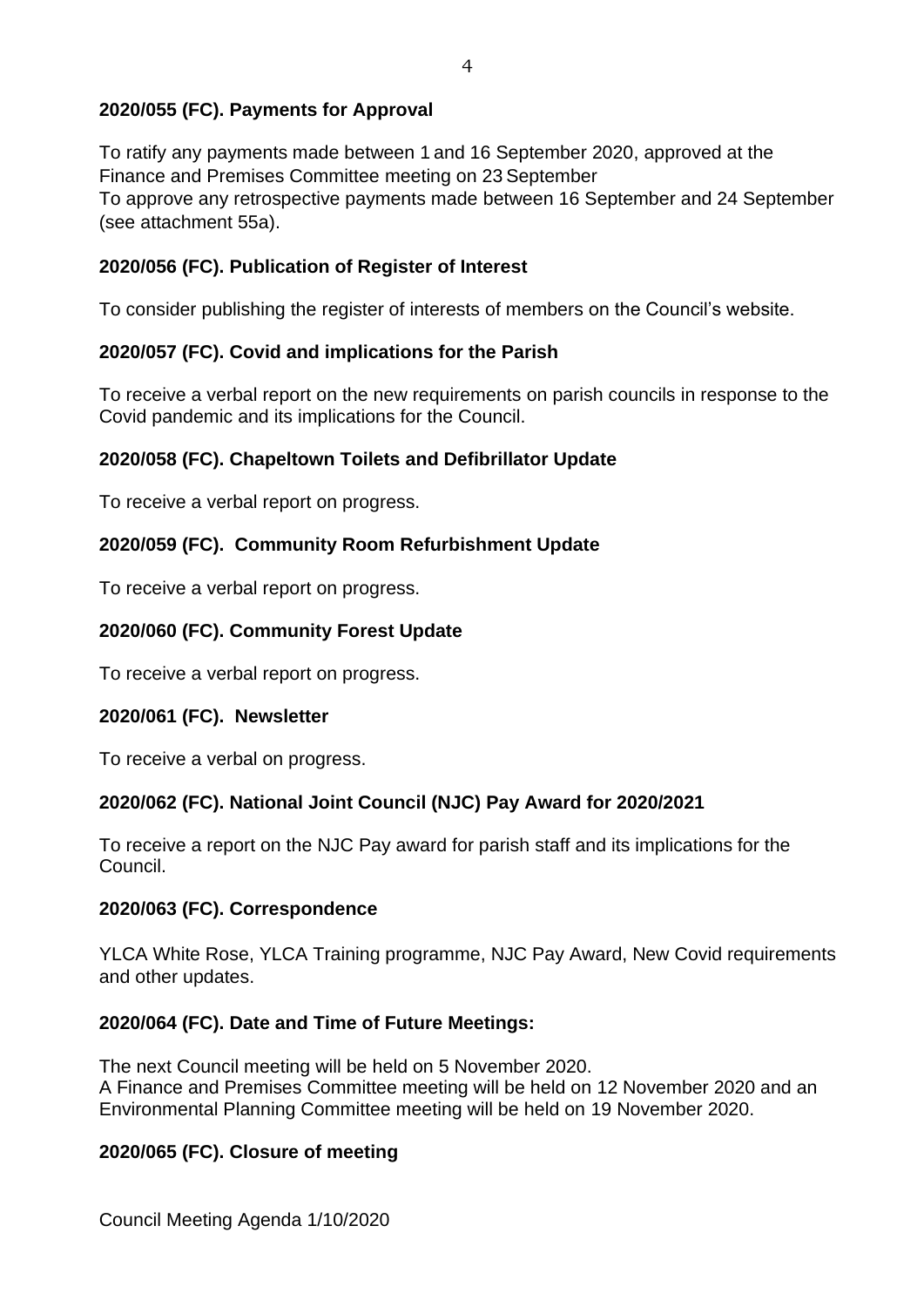# **2020/055 (FC). Payments for Approval**

To ratify any payments made between 1 and 16 September 2020, approved at the Finance and Premises Committee meeting on 23 September To approve any retrospective payments made between 16 September and 24 September (see attachment 55a).

# **2020/056 (FC). Publication of Register of Interest**

To consider publishing the register of interests of members on the Council's website.

# **2020/057 (FC). Covid and implications for the Parish**

To receive a verbal report on the new requirements on parish councils in response to the Covid pandemic and its implications for the Council.

# **2020/058 (FC). Chapeltown Toilets and Defibrillator Update**

To receive a verbal report on progress.

# **2020/059 (FC). Community Room Refurbishment Update**

To receive a verbal report on progress.

# **2020/060 (FC). Community Forest Update**

To receive a verbal report on progress.

## **2020/061 (FC). Newsletter**

To receive a verbal on progress.

## **2020/062 (FC). National Joint Council (NJC) Pay Award for 2020/2021**

To receive a report on the NJC Pay award for parish staff and its implications for the Council.

## **2020/063 (FC). Correspondence**

YLCA White Rose, YLCA Training programme, NJC Pay Award, New Covid requirements and other updates.

## **2020/064 (FC). Date and Time of Future Meetings:**

The next Council meeting will be held on 5 November 2020. A Finance and Premises Committee meeting will be held on 12 November 2020 and an Environmental Planning Committee meeting will be held on 19 November 2020.

## **2020/065 (FC). Closure of meeting**